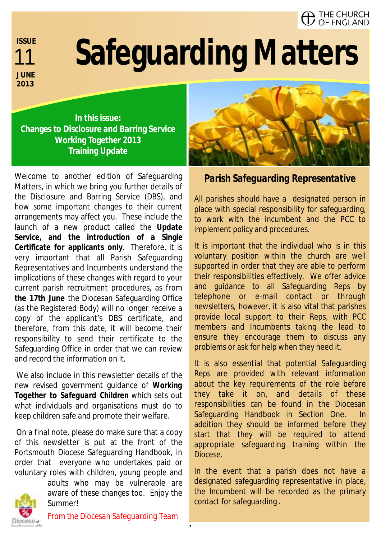#### $\blacksquare$  The Church OF ENGLAND

11 **ISSUE JUNE 2013** 

# **Safeguarding Matters**

**In this issue: Changes to Disclosure and Barring Service Working Together 2013 Training Update** 

Welcome to another edition of Safeguarding Matters, in which we bring you further details of the Disclosure and Barring Service (DBS), and how some important changes to their current arrangements may affect you. These include the launch of a new product called the **Update Service, and the introduction of a Single Certificate for applicants only**. Therefore, it is very important that all Parish Safeguarding Representatives and Incumbents understand the implications of these changes with regard to your current parish recruitment procedures, as from **the 17th June** the Diocesan Safeguarding Office (as the Registered Body) will no longer receive a copy of the applicant's DBS certificate, and therefore, from this date, it will become their responsibility to send their certificate to the Safeguarding Office in order that we can review and record the information on it.

We also include in this newsletter details of the new revised government guidance of *Working Together to Safeguard Children* which sets out what individuals and organisations must do to keep children safe and promote their welfare.

On a final note, please do make sure that a copy of this newsletter is put at the front of the Portsmouth Diocese Safeguarding Handbook, in order that everyone who undertakes paid or voluntary roles with children, young people and



adults who may be vulnerable are aware of these changes too. Enjoy the Summer!

**1**



#### *Parish Safeguarding Representative*

All parishes should have a designated person in place with special responsibility for safeguarding, to work with the incumbent and the PCC to implement policy and procedures.

It is important that the individual who is in this voluntary position within the church are well supported in order that they are able to perform their responsibilities effectively. We offer advice and guidance to all Safeguarding Reps by telephone or e-mail contact or through newsletters, however, it is also vital that parishes provide local support to their Reps, with PCC members and Incumbents taking the lead to ensure they encourage them to discuss any problems or ask for help when they need it.

It is also essential that potential Safeguarding Reps are provided with relevant information about the key requirements of the role before they take it on, and details of these responsibilities can be found in the Diocesan Safeguarding Handbook in Section One. In addition they should be informed before they start that they will be required to attend appropriate safeguarding training within the **Diocese** 

In the event that a parish does not have a designated safeguarding representative in place, the Incumbent will be recorded as the primary contact for safeguarding .

*From the Diocesan Safeguarding Team*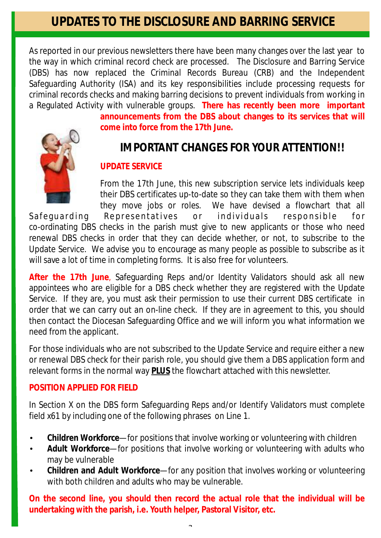## **UPDATES TO THE DISCLOSURE AND BARRING SERVICE**

As reported in our previous newsletters there have been many changes over the last year to the way in which criminal record check are processed. The Disclosure and Barring Service (DBS) has now replaced the Criminal Records Bureau (CRB) and the Independent Safeguarding Authority (ISA) and its key responsibilities include processing requests for criminal records checks and making barring decisions to prevent individuals from working in a Regulated Activity with vulnerable groups. **There has recently been more important** 

**announcements from the DBS about changes to its services that will come into force from the 17th June.** 

### **IMPORTANT CHANGES FOR YOUR ATTENTION!!**

#### **UPDATE SERVICE**

From the 17th June, this new subscription service lets individuals keep their DBS certificates up-to-date so they can take them with them when they move jobs or roles. We have devised a flowchart that all Safeguarding Representatives or individuals responsible for co-ordinating DBS checks in the parish must give to new applicants or those who need renewal DBS checks in order that they can decide whether, or not, to subscribe to the Update Service. We advise you to encourage as many people as possible to subscribe as it will save a lot of time in completing forms. It is also free for volunteers.

**After the 17th June**, Safeguarding Reps and/or Identity Validators should ask all new appointees who are eligible for a DBS check whether they are registered with the Update Service. If they are, you must ask their permission to use their current DBS certificate in order that we can carry out an on-line check. If they are in agreement to this, you should then contact the Diocesan Safeguarding Office and we will inform you what information we need from the applicant.

For those individuals who are not subscribed to the Update Service and require either a new or renewal DBS check for their parish role, you should give them a DBS application form and relevant forms in the normal way **PLUS** the flowchart attached with this newsletter.

#### **POSITION APPLIED FOR FIELD**

In Section X on the DBS form Safeguarding Reps and/or Identify Validators must complete field x61 by including one of the following phrases on Line 1.

- **Children Workforce**—for positions that involve working or volunteering with children
- **Adult Workforce**—for positions that involve working or volunteering with adults who may be vulnerable
- **Children and Adult Workforce**—for any position that involves working or volunteering with both children and adults who may be vulnerable.

**On the second line, you should then record the actual role that the individual will be undertaking with the parish, i.e. Youth helper, Pastoral Visitor, etc.**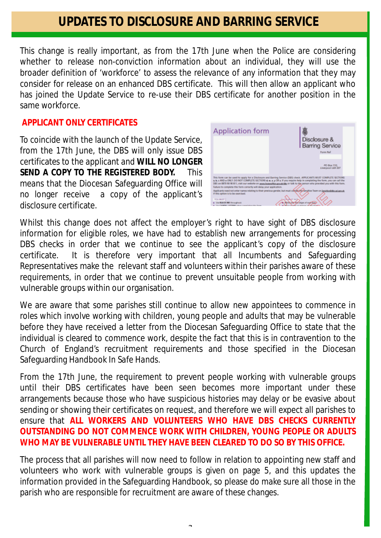## **UPDATES TO DISCLOSURE AND BARRING SERVICE**

This change is really important, as from the 17th June when the Police are considering whether to release non-conviction information about an individual, they will use the broader definition of 'workforce' to assess the relevance of any information that they may consider for release on an enhanced DBS certificate. This will then allow an applicant who has joined the Update Service to re-use their DBS certificate for another position in the same workforce.

#### **APPLICANT ONLY CERTIFICATES**

To coincide with the launch of the Update Service, from the 17th June, the DBS will only issue DBS certificates to the applicant and **WILL NO LONGER SEND A COPY TO THE REGISTERED BODY.** This means that the Diocesan Safeguarding Office will no longer receive a copy of the applicant's disclosure certificate.



Whilst this change does not affect the employer's right to have sight of DBS disclosure information for eligible roles, we have had to establish new arrangements for processing DBS checks in order that we continue to see the applicant's copy of the disclosure certificate. It is therefore very important that all Incumbents and Safeguarding Representatives make the relevant staff and volunteers within their parishes aware of these requirements, in order that we continue to prevent unsuitable people from working with vulnerable groups within our organisation.

We are aware that some parishes still continue to allow new appointees to commence in roles which involve working with children, young people and adults that may be vulnerable before they have received a letter from the Diocesan Safeguarding Office to state that the individual is cleared to commence work, despite the fact that this is in contravention to the Church of England's recruitment requirements and those specified in the Diocesan Safeguarding Handbook *In Safe Hands*.

From the 17th June, the requirement to prevent people working with vulnerable groups until their DBS certificates have been seen becomes more important under these arrangements because those who have suspicious histories may delay or be evasive about sending or showing their certificates on request, and therefore we will expect all parishes to ensure that **ALL WORKERS AND VOLUNTEERS WHO HAVE DBS CHECKS CURRENTLY OUTSTANDING DO NOT COMMENCE WORK WITH CHILDREN, YOUNG PEOPLE OR ADULTS WHO MAY BE VULNERABLE UNTIL THEY HAVE BEEN CLEARED TO DO SO BY THIS OFFICE.** 

The process that all parishes will now need to follow in relation to appointing new staff and volunteers who work with vulnerable groups is given on page 5, and this updates the information provided in the Safeguarding Handbook, so please do make sure all those in the parish who are responsible for recruitment are aware of these changes.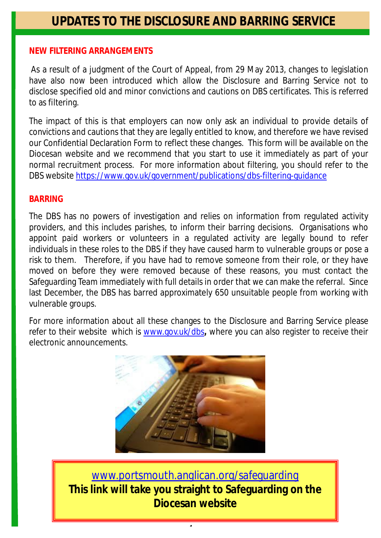#### **NEW FILTERING ARRANGEMENTS**

As a result of a judgment of the Court of Appeal, from 29 May 2013, changes to legislation have also now been introduced which allow the Disclosure and Barring Service not to disclose specified old and minor convictions and cautions on DBS certificates. This is referred to as filtering.

The impact of this is that employers can now only ask an individual to provide details of convictions and cautions that they are legally entitled to know, and therefore we have revised our Confidential Declaration Form to reflect these changes. This form will be available on the Diocesan website and we recommend that you start to use it immediately as part of your normal recruitment process. For more information about filtering, you should refer to the DBS website <https://www.gov.uk/government/publications/dbs-filtering-guidance>

#### **BARRING**

The DBS has no powers of investigation and relies on information from regulated activity providers, and this includes parishes, to inform their barring decisions. Organisations who appoint paid workers or volunteers in a regulated activity are legally bound to refer individuals in these roles to the DBS if they have caused harm to vulnerable groups or pose a risk to them. Therefore, if you have had to remove someone from their role, or they have moved on before they were removed because of these reasons, you must contact the Safeguarding Team immediately with full details in order that we can make the referral. Since last December, the DBS has barred approximately 650 unsuitable people from working with vulnerable groups.

For more information about all these changes to the Disclosure and Barring Service please refer to their website which is [www.gov.uk/dbs](http://www.gov.uk/dbs)**,** where you can also register to receive their electronic announcements.



[www.portsmouth.anglican.org/safeguarding](http://www.portsmouth.anglican.org/safeguarding) **This link will take you straight to Safeguarding on the Diocesan website**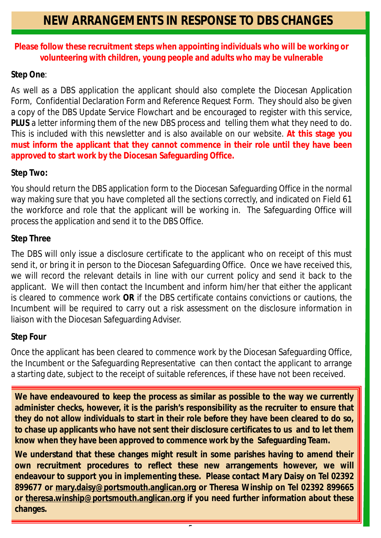#### **Please follow these recruitment steps when appointing individuals who will be working or volunteering with children, young people and adults who may be vulnerable**

#### **Step One**:

As well as a DBS application the applicant should also complete the Diocesan Application Form, Confidential Declaration Form and Reference Request Form. They should also be given a copy of the DBS Update Service Flowchart and be encouraged to register with this service, **PLUS** a letter informing them of the new DBS process and telling them what they need to do. This is included with this newsletter and is also available on our website. **At this stage you must inform the applicant that they cannot commence in their role until they have been approved to start work by the Diocesan Safeguarding Office.**

#### **Step Two:**

You should return the DBS application form to the Diocesan Safeguarding Office in the normal way making sure that you have completed all the sections correctly, and indicated on Field 61 the workforce and role that the applicant will be working in. The Safeguarding Office will process the application and send it to the DBS Office.

#### **Step Three**

The DBS will only issue a disclosure certificate to the applicant who on receipt of this must send it, or bring it in person to the Diocesan Safeguarding Office. Once we have received this, we will record the relevant details in line with our current policy and send it back to the applicant. We will then contact the Incumbent and inform him/her that either the applicant is cleared to commence work **OR** if the DBS certificate contains convictions or cautions, the Incumbent will be required to carry out a risk assessment on the disclosure information in liaison with the Diocesan Safeguarding Adviser.

#### **Step Four**

Once the applicant has been cleared to commence work by the Diocesan Safeguarding Office, the Incumbent or the Safeguarding Representative can then contact the applicant to arrange a starting date, subject to the receipt of suitable references, if these have not been received.

**We have endeavoured to keep the process as similar as possible to the way we currently administer checks, however, it is the parish's responsibility as the recruiter to ensure that they do not allow individuals to start in their role before they have been cleared to do so, to chase up applicants who have not sent their disclosure certificates to us and to let them know when they have been approved to commence work by the Safeguarding Team.** 

**We understand that these changes might result in some parishes having to amend their own recruitment procedures to reflect these new arrangements however, we will endeavour to support you in implementing these. Please contact Mary Daisy on Tel 02392 899677 or [mary.daisy@portsmouth.anglican.org](mailto:mary.daisy@portsmouth.anglican.org) or Theresa Winship on Tel 02392 899665 or [theresa.winship@portsmouth.anglican.org](mailto:theresa.winship@portsmouth.anglican.org) if you need further information about these changes.**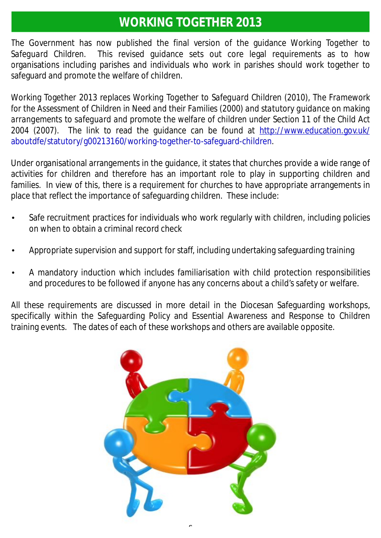## **WORKING TOGETHER 2013**

The Government has now published the final version of the guidance *Working Together to Safeguard Children*. This revised guidance sets out core legal requirements as to how organisations including parishes and individuals who work in parishes should work together to safeguard and promote the welfare of children.

Working Together 2013 replaces *Working Together to Safeguard Children (2010), The Framework for the Assessment of Children in Need and their Families (2000) and statutory guidance on making arrangements to safeguard and promote the welfare of children under Section 11 of the Child Act 2004 (2007)*. The link to read the guidance can be found at <http://www.education.gov.uk/> aboutdfe/statutory/g00213160/working-together-to-safeguard-children.

Under organisational arrangements in the guidance, it states that churches provide a wide range of activities for children and therefore has an important role to play in supporting children and families. In view of this, there is a requirement for churches to have appropriate arrangements in place that reflect the importance of safeguarding children. These include:

- Safe recruitment practices for individuals who work regularly with children, including policies on when to obtain a criminal record check
- Appropriate supervision and support for staff, including undertaking safeguarding training
- A mandatory induction which includes familiarisation with child protection responsibilities and procedures to be followed if anyone has any concerns about a child's safety or welfare.

All these requirements are discussed in more detail in the Diocesan Safeguarding workshops, specifically within the Safeguarding Policy and Essential Awareness and Response to Children training events. The dates of each of these workshops and others are available opposite.

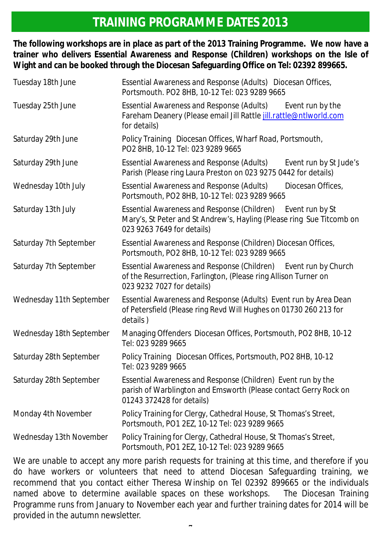## **TRAINING PROGRAMME DATES 2013**

**The following workshops are in place as part of the 2013 Training Programme. We now have a trainer who delivers Essential Awareness and Response (Children) workshops on the Isle of Wight and can be booked through the Diocesan Safeguarding Office on Tel: 02392 899665.** 

| Tuesday 18th June        | Essential Awareness and Response (Adults) Diocesan Offices,<br>Portsmouth. PO2 8HB, 10-12 Tel: 023 9289 9665                                                       |
|--------------------------|--------------------------------------------------------------------------------------------------------------------------------------------------------------------|
| Tuesday 25th June        | Essential Awareness and Response (Adults) Event run by the<br>Fareham Deanery (Please email Jill Rattle <i>jill.rattle@ntlworld.com</i><br>for details)            |
| Saturday 29th June       | Policy Training Diocesan Offices, Wharf Road, Portsmouth,<br>PO2 8HB, 10-12 Tel: 023 9289 9665                                                                     |
| Saturday 29th June       | <b>Essential Awareness and Response (Adults)</b><br>Event run by St Jude's<br>Parish (Please ring Laura Preston on 023 9275 0442 for details)                      |
| Wednesday 10th July      | <b>Essential Awareness and Response (Adults)</b><br>Diocesan Offices,<br>Portsmouth, PO2 8HB, 10-12 Tel: 023 9289 9665                                             |
| Saturday 13th July       | Essential Awareness and Response (Children) Event run by St<br>Mary's, St Peter and St Andrew's, Hayling (Please ring Sue Titcomb on<br>023 9263 7649 for details) |
| Saturday 7th September   | Essential Awareness and Response (Children) Diocesan Offices,<br>Portsmouth, PO2 8HB, 10-12 Tel: 023 9289 9665                                                     |
| Saturday 7th September   | Essential Awareness and Response (Children) Event run by Church<br>of the Resurrection, Farlington, (Please ring Allison Turner on<br>023 9232 7027 for details)   |
| Wednesday 11th September | Essential Awareness and Response (Adults) Event run by Area Dean<br>of Petersfield (Please ring Revd Will Hughes on 01730 260 213 for<br>details)                  |
| Wednesday 18th September | Managing Offenders Diocesan Offices, Portsmouth, PO2 8HB, 10-12<br>Tel: 023 9289 9665                                                                              |
| Saturday 28th September  | Policy Training Diocesan Offices, Portsmouth, PO2 8HB, 10-12<br>Tel: 023 9289 9665                                                                                 |
| Saturday 28th September  | Essential Awareness and Response (Children) Event run by the<br>parish of Warblington and Emsworth (Please contact Gerry Rock on<br>01243 372428 for details)      |
| Monday 4th November      | Policy Training for Clergy, Cathedral House, St Thomas's Street,<br>Portsmouth, PO1 2EZ, 10-12 Tel: 023 9289 9665                                                  |
| Wednesday 13th November  | Policy Training for Clergy, Cathedral House, St Thomas's Street,<br>Portsmouth, PO1 2EZ, 10-12 Tel: 023 9289 9665                                                  |

We are unable to accept any more parish requests for training at this time, and therefore if you do have workers or volunteers that need to attend Diocesan Safeguarding training, we recommend that you contact either Theresa Winship on Tel 02392 899665 or the individuals named above to determine available spaces on these workshops. The Diocesan Training Programme runs from January to November each year and further training dates for 2014 will be provided in the autumn newsletter.